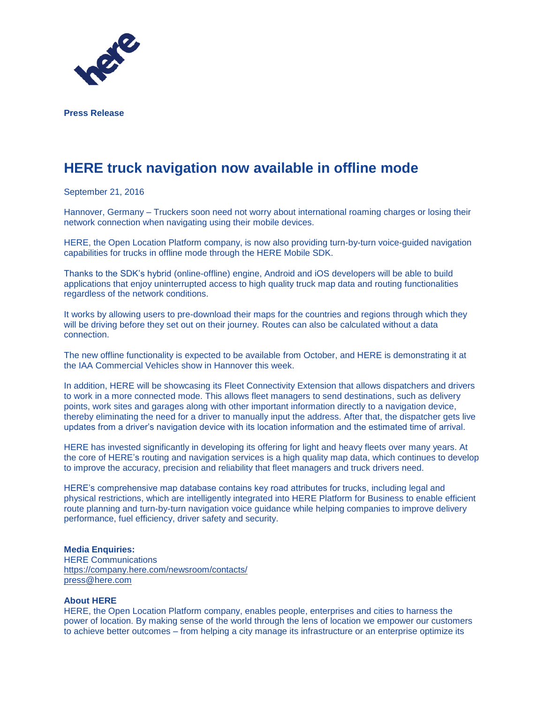

**Press Release**

## **HERE truck navigation now available in offline mode**

September 21, 2016

Hannover, Germany – Truckers soon need not worry about international roaming charges or losing their network connection when navigating using their mobile devices.

HERE, the Open Location Platform company, is now also providing turn-by-turn voice-guided navigation capabilities for trucks in offline mode through the HERE Mobile SDK.

Thanks to the SDK's hybrid (online-offline) engine, Android and iOS developers will be able to build applications that enjoy uninterrupted access to high quality truck map data and routing functionalities regardless of the network conditions.

It works by allowing users to pre-download their maps for the countries and regions through which they will be driving before they set out on their journey. Routes can also be calculated without a data connection.

The new offline functionality is expected to be available from October, and HERE is demonstrating it at the IAA Commercial Vehicles show in Hannover this week.

In addition, HERE will be showcasing its Fleet Connectivity Extension that allows dispatchers and drivers to work in a more connected mode. This allows fleet managers to send destinations, such as delivery points, work sites and garages along with other important information directly to a navigation device, thereby eliminating the need for a driver to manually input the address. After that, the dispatcher gets live updates from a driver's navigation device with its location information and the estimated time of arrival.

HERE has invested significantly in developing its offering for light and heavy fleets over many years. At the core of HERE's routing and navigation services is a high quality map data, which continues to develop to improve the accuracy, precision and reliability that fleet managers and truck drivers need.

HERE's comprehensive map database contains key road attributes for trucks, including legal and physical restrictions, which are intelligently integrated into HERE Platform for Business to enable efficient route planning and turn-by-turn navigation voice guidance while helping companies to improve delivery performance, fuel efficiency, driver safety and security.

## **Media Enquiries:**

HERE Communications <https://company.here.com/newsroom/contacts/> [press@here.com](mailto:press@here.com)

## **About HERE**

HERE, the Open Location Platform company, enables people, enterprises and cities to harness the power of location. By making sense of the world through the lens of location we empower our customers to achieve better outcomes – from helping a city manage its infrastructure or an enterprise optimize its